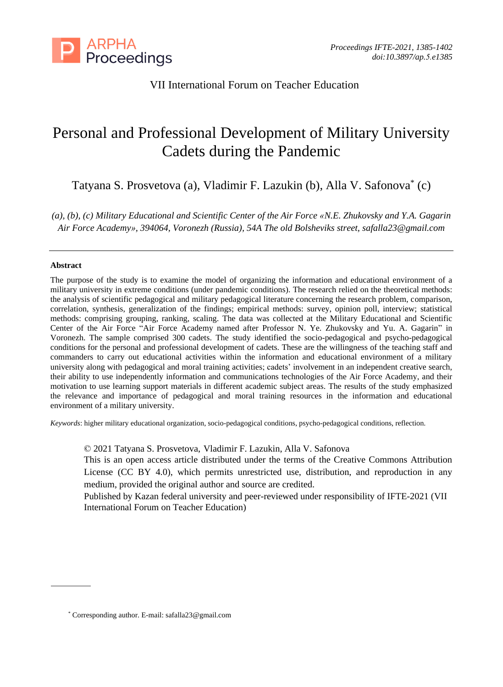

## VII International Forum on Teacher Education

# Personal and Professional Development of Military University Cadets during the Pandemic

Tatyana S. Prosvetova (a), Vladimir F. Lazukin (b), Alla V. Safonova \* (c)

*(a), (b), (c) Military Educational and Scientific Center of the Air Force «N.E. Zhukovsky and Y.A. Gagarin Air Force Academy», 394064, Voronezh (Russia), 54A The old Bolsheviks street, safalla23@gmail.com*

## **Abstract**

The purpose of the study is to examine the model of organizing the information and educational environment of a military university in extreme conditions (under pandemic conditions). The research relied on the theoretical methods: the analysis of scientific pedagogical and military pedagogical literature concerning the research problem, comparison, correlation, synthesis, generalization of the findings; empirical methods: survey, opinion poll, interview; statistical methods: comprising grouping, ranking, scaling. The data was collected at the Military Educational and Scientific Center of the Air Force "Air Force Academy named after Professor N. Ye. Zhukovsky and Yu. A. Gagarin" in Voronezh. The sample comprised 300 cadets. The study identified the socio-pedagogical and psycho-pedagogical conditions for the personal and professional development of cadets. These are the willingness of the teaching staff and commanders to carry out educational activities within the information and educational environment of a military university along with pedagogical and moral training activities; cadets' involvement in an independent creative search, their ability to use independently information and communications technologies of the Air Force Academy, and their motivation to use learning support materials in different academic subject areas. The results of the study emphasized the relevance and importance of pedagogical and moral training resources in the information and educational environment of a military university.

*Keywords*: higher military educational organization, socio-pedagogical conditions, psycho-pedagogical conditions, reflection.

© 2021 Tatyana S. Prosvetova, Vladimir F. Lazukin, Alla V. Safonova

This is an open access article distributed under the terms of the Creative Commons Attribution License (CC BY 4.0), which permits unrestricted use, distribution, and reproduction in any medium, provided the original author and source are credited.

Published by Kazan federal university and peer-reviewed under responsibility of IFTE-2021 (VII International Forum on Teacher Education)

<sup>\*</sup> Corresponding author. E-mail: safalla23@gmail.com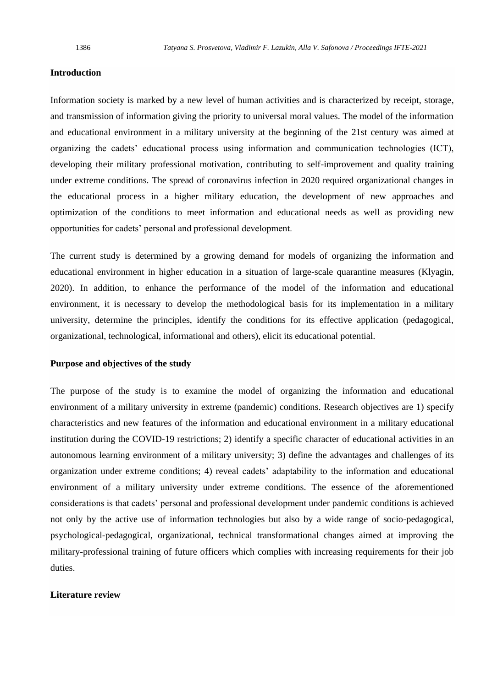## **Introduction**

Information society is marked by a new level of human activities and is characterized by receipt, storage, and transmission of information giving the priority to universal moral values. The model of the information and educational environment in a military university at the beginning of the 21st century was aimed at organizing the cadets' educational process using information and communication technologies (ICT), developing their military professional motivation, contributing to self-improvement and quality training under extreme conditions. The spread of coronavirus infection in 2020 required organizational changes in the educational process in a higher military education, the development of new approaches and optimization of the conditions to meet information and educational needs as well as providing new opportunities for cadets' personal and professional development.

The current study is determined by a growing demand for models of organizing the information and educational environment in higher education in a situation of large-scale quarantine measures (Klyagin, 2020). In addition, to enhance the performance of the model of the information and educational environment, it is necessary to develop the methodological basis for its implementation in a military university, determine the principles, identify the conditions for its effective application (pedagogical, organizational, technological, informational and others), elicit its educational potential.

#### **Purpose and objectives of the study**

The purpose of the study is to examine the model of organizing the information and educational environment of a military university in extreme (pandemic) conditions. Research objectives are 1) specify characteristics and new features of the information and educational environment in a military educational institution during the COVID-19 restrictions; 2) identify a specific character of educational activities in an autonomous learning environment of a military university; 3) define the advantages and challenges of its organization under extreme conditions; 4) reveal cadets' adaptability to the information and educational environment of a military university under extreme conditions. The essence of the aforementioned considerations is that cadets' personal and professional development under pandemic conditions is achieved not only by the active use of information technologies but also by a wide range of socio-pedagogical, psychological-pedagogical, organizational, technical transformational changes aimed at improving the military-professional training of future officers which complies with increasing requirements for their job duties.

#### **Literature review**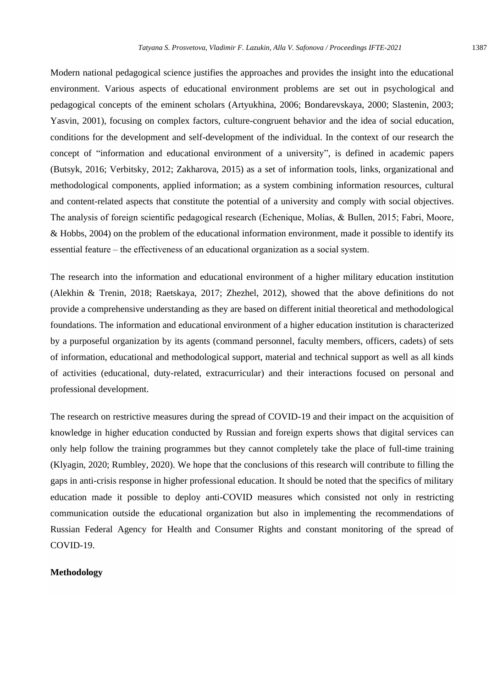Modern national pedagogical science justifies the approaches and provides the insight into the educational environment. Various aspects of educational environment problems are set out in psychological and pedagogical concepts of the eminent scholars (Artyukhina, 2006; Bondarevskaya, 2000; Slastenin, 2003; Yasvin, 2001), focusing on complex factors, culture-congruent behavior and the idea of social education, conditions for the development and self-development of the individual. In the context of our research the concept of "information and educational environment of a university", is defined in academic papers (Butsyk, 2016; Verbitsky, 2012; Zakharova, 2015) as a set of information tools, links, organizational and methodological components, applied information; as a system combining information resources, cultural and content-related aspects that constitute the potential of a university and comply with social objectives. The analysis of foreign scientific pedagogical research (Echenique, Molías, & Bullen, 2015; Fabri, Moore, & Hobbs, 2004) on the problem of the educational information environment, made it possible to identify its essential feature – the effectiveness of an educational organization as a social system.

The research into the information and educational environment of a higher military education institution (Alekhin & Trenin, 2018; Raetskaya, 2017; Zhezhel, 2012), showed that the above definitions do not provide a comprehensive understanding as they are based on different initial theoretical and methodological foundations. The information and educational environment of a higher education institution is characterized by a purposeful organization by its agents (command personnel, faculty members, officers, cadets) of sets of information, educational and methodological support, material and technical support as well as all kinds of activities (educational, duty-related, extracurricular) and their interactions focused on personal and professional development.

The research on restrictive measures during the spread of COVID-19 and their impact on the acquisition of knowledge in higher education conducted by Russian and foreign experts shows that digital services can only help follow the training programmes but they cannot completely take the place of full-time training (Klyagin, 2020; Rumbley, 2020). We hope that the conclusions of this research will contribute to filling the gaps in anti-crisis response in higher professional education. It should be noted that the specifics of military education made it possible to deploy anti-СOVID measures which consisted not only in restricting communication outside the educational organization but also in implementing the recommendations of Russian Federal Agency for Health and Consumer Rights and constant monitoring of the spread of COVID-19.

#### **Methodology**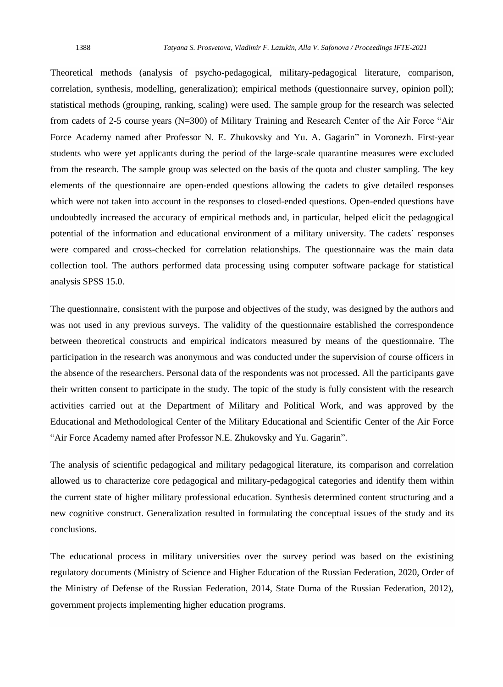Theoretical methods (analysis of psycho-pedagogical, military-pedagogical literature, comparison, correlation, synthesis, modelling, generalization); empirical methods (questionnaire survey, opinion poll); statistical methods (grouping, ranking, scaling) were used. The sample group for the research was selected from cadets of 2-5 course years (N=300) of Military Training and Research Center of the Air Force "Air Force Academy named after Professor N. E. Zhukovsky and Yu. A. Gagarin" in Voronezh. First-year students who were yet applicants during the period of the large-scale quarantine measures were excluded from the research. The sample group was selected on the basis of the quota and cluster sampling. The key elements of the questionnaire are open-ended questions allowing the cadets to give detailed responses which were not taken into account in the responses to closed-ended questions. Open-ended questions have undoubtedly increased the accuracy of empirical methods and, in particular, helped elicit the pedagogical potential of the information and educational environment of a military university. The cadets' responses were compared and cross-checked for correlation relationships. The questionnaire was the main data collection tool. The authors performed data processing using computer software package for statistical analysis SPSS 15.0.

The questionnaire, consistent with the purpose and objectives of the study, was designed by the authors and was not used in any previous surveys. The validity of the questionnaire established the correspondence between theoretical constructs and empirical indicators measured by means of the questionnaire. The participation in the research was anonymous and was conducted under the supervision of course officers in the absence of the researchers. Personal data of the respondents was not processed. All the participants gave their written consent to participate in the study. The topic of the study is fully consistent with the research activities carried out at the Department of Military and Political Work, and was approved by the Educational and Methodological Center of the Military Educational and Scientific Center of the Air Force "Air Force Academy named after Professor N.E. Zhukovsky and Yu. Gagarin".

The analysis of scientific pedagogical and military pedagogical literature, its comparison and correlation allowed us to characterize core pedagogical and military-pedagogical categories and identify them within the current state of higher military professional education. Synthesis determined content structuring and a new cognitive construct. Generalization resulted in formulating the conceptual issues of the study and its conclusions.

The educational process in military universities over the survey period was based on the existining regulatory documents (Ministry of Science and Higher Education of the Russian Federation, 2020, Order of the Ministry of Defense of the Russian Federation, 2014, State Duma of the Russian Federation, 2012), government projects implementing higher education programs.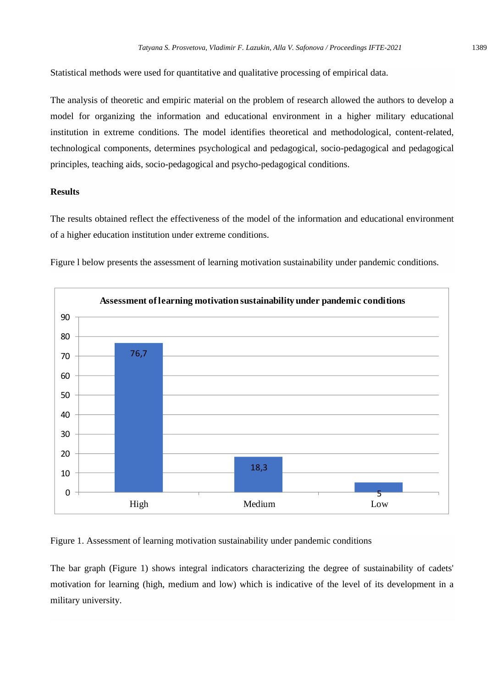Statistical methods were used for quantitative and qualitative processing of empirical data.

The analysis of theoretic and empiric material on the problem of research allowed the authors to develop a model for organizing the information and educational environment in a higher military educational institution in extreme conditions. The model identifies theoretical and methodological, content-related, technological components, determines psychological and pedagogical, socio-pedagogical and pedagogical principles, teaching aids, socio-pedagogical and psycho-pedagogical conditions.

## **Results**

The results obtained reflect the effectiveness of the model of the information and educational environment of a higher education institution under extreme conditions.

Figure l below presents the assessment of learning motivation sustainability under pandemic conditions.



Figure 1. Assessment of learning motivation sustainability under pandemic conditions

The bar graph (Figure 1) shows integral indicators characterizing the degree of sustainability of cadets' motivation for learning (high, medium and low) which is indicative of the level of its development in a military university.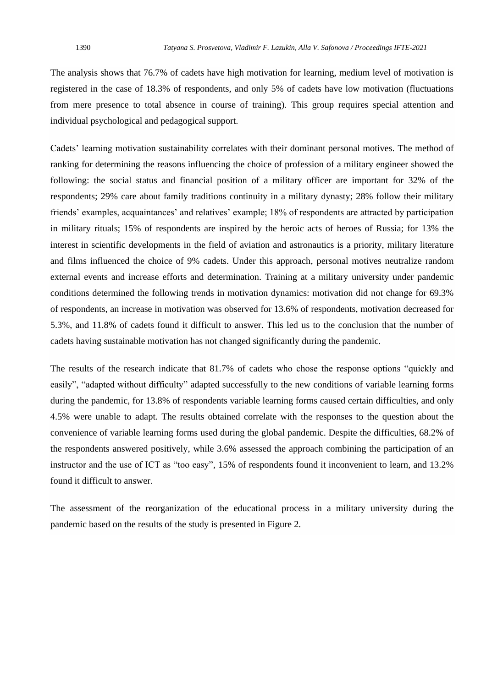The analysis shows that 76.7% of cadets have high motivation for learning, medium level of motivation is registered in the case of 18.3% of respondents, and only 5% of cadets have low motivation (fluctuations from mere presence to total absence in course of training). This group requires special attention and individual psychological and pedagogical support.

Cadets' learning motivation sustainability correlates with their dominant personal motives. The method of ranking for determining the reasons influencing the choice of profession of a military engineer showed the following: the social status and financial position of a military officer are important for 32% of the respondents; 29% care about family traditions continuity in a military dynasty; 28% follow their military friends' examples, acquaintances' and relatives' example; 18% of respondents are attracted by participation in military rituals; 15% of respondents are inspired by the heroic acts of heroes of Russia; for 13% the interest in scientific developments in the field of aviation and astronautics is a priority, military literature and films influenced the choice of 9% cadets. Under this approach, personal motives neutralize random external events and increase efforts and determination. Training at a military university under pandemic conditions determined the following trends in motivation dynamics: motivation did not change for 69.3% of respondents, an increase in motivation was observed for 13.6% of respondents, motivation decreased for 5.3%, and 11.8% of cadets found it difficult to answer. This led us to the conclusion that the number of cadets having sustainable motivation has not changed significantly during the pandemic.

The results of the research indicate that 81.7% of cadets who chose the response options "quickly and easily", "adapted without difficulty" adapted successfully to the new conditions of variable learning forms during the pandemic, for 13.8% of respondents variable learning forms caused certain difficulties, and only 4.5% were unable to adapt. The results obtained correlate with the responses to the question about the convenience of variable learning forms used during the global pandemic. Despite the difficulties, 68.2% of the respondents answered positively, while 3.6% assessed the approach combining the participation of an instructor and the use of ICT as "too easy", 15% of respondents found it inconvenient to learn, and 13.2% found it difficult to answer.

The assessment of the reorganization of the educational process in a military university during the pandemic based on the results of the study is presented in Figure 2.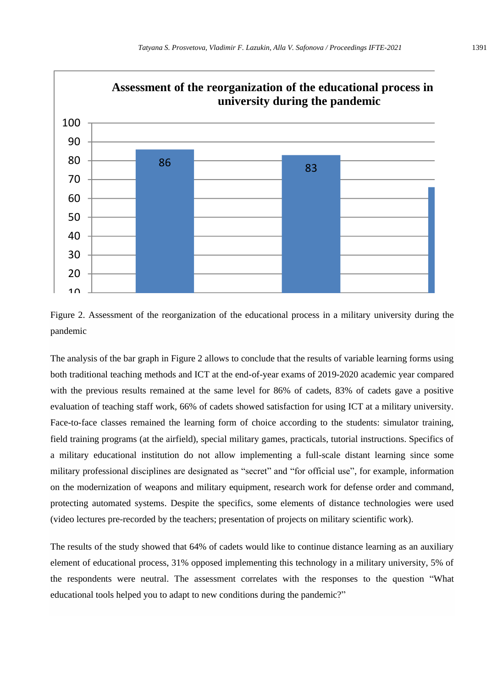



The analysis of the bar graph in Figure 2 allows to conclude that the results of variable learning forms using both traditional teaching methods and ICT at the end-of-year exams of 2019-2020 academic year compared with the previous results remained at the same level for 86% of cadets, 83% of cadets gave a positive evaluation of teaching staff work, 66% of cadets showed satisfaction for using ICT at a military university. Face-to-face classes remained the learning form of choice according to the students: simulator training, field training programs (at the airfield), special military games, practicals, tutorial instructions. Specifics of a military educational institution do not allow implementing a full-scale distant learning since some military professional disciplines are designated as "secret" and "for official use", for example, information on the modernization of weapons and military equipment, research work for defense order and command, protecting automated systems. Despite the specifics, some elements of distance technologies were used (video lectures pre-recorded by the teachers; presentation of projects on military scientific work).

The results of the study showed that 64% of cadets would like to continue distance learning as an auxiliary element of educational process, 31% opposed implementing this technology in a military university, 5% of the respondents were neutral. The assessment correlates with the responses to the question "What educational tools helped you to adapt to new conditions during the pandemic?"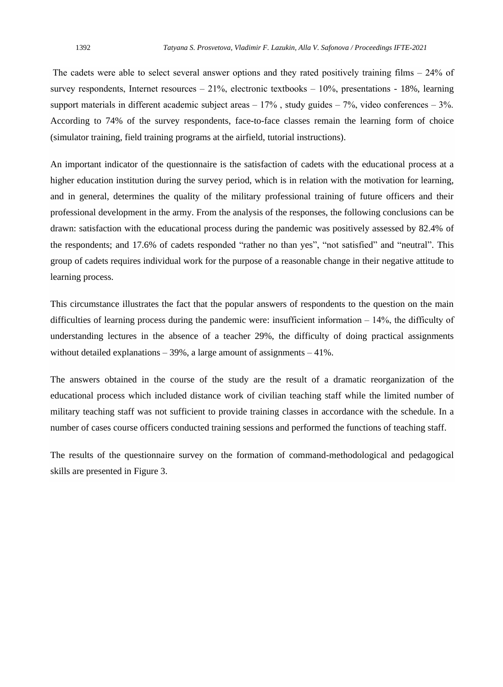The cadets were able to select several answer options and they rated positively training films  $-24\%$  of survey respondents, Internet resources  $-21\%$ , electronic textbooks  $-10\%$ , presentations - 18%, learning support materials in different academic subject areas  $-17\%$ , study guides  $-7\%$ , video conferences  $-3\%$ . According to 74% of the survey respondents, face-to-face classes remain the learning form of choice (simulator training, field training programs at the airfield, tutorial instructions).

An important indicator of the questionnaire is the satisfaction of cadets with the educational process at a higher education institution during the survey period, which is in relation with the motivation for learning, and in general, determines the quality of the military professional training of future officers and their professional development in the army. From the analysis of the responses, the following conclusions can be drawn: satisfaction with the educational process during the pandemic was positively assessed by 82.4% of the respondents; and 17.6% of cadets responded "rather no than yes", "not satisfied" and "neutral". This group of cadets requires individual work for the purpose of a reasonable change in their negative attitude to learning process.

This circumstance illustrates the fact that the popular answers of respondents to the question on the main difficulties of learning process during the pandemic were: insufficient information  $-14\%$ , the difficulty of understanding lectures in the absence of a teacher 29%, the difficulty of doing practical assignments without detailed explanations  $-39\%$ , a large amount of assignments  $-41\%$ .

The answers obtained in the course of the study are the result of a dramatic reorganization of the educational process which included distance work of civilian teaching staff while the limited number of military teaching staff was not sufficient to provide training classes in accordance with the schedule. In a number of cases course officers conducted training sessions and performed the functions of teaching staff.

The results of the questionnaire survey on the formation of command-methodological and pedagogical skills are presented in Figure 3.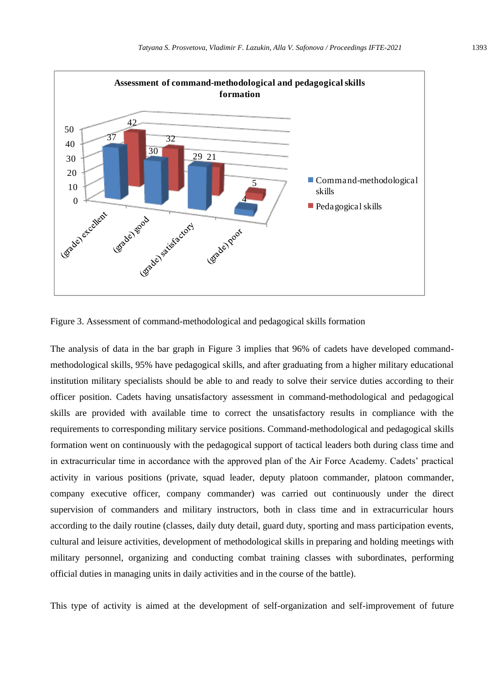

Figure 3. Assessment of command-methodological and pedagogical skills formation

The analysis of data in the bar graph in Figure 3 implies that 96% of cadets have developed commandmethodological skills, 95% have pedagogical skills, and after graduating from a higher military educational institution military specialists should be able to and ready to solve their service duties according to their officer position. Cadets having unsatisfactory assessment in command-methodological and pedagogical skills are provided with available time to correct the unsatisfactory results in compliance with the requirements to corresponding military service positions. Command-methodological and pedagogical skills formation went on continuously with the pedagogical support of tactical leaders both during class time and in extracurricular time in accordance with the approved plan of the Air Force Academy. Cadets' practical activity in various positions (private, squad leader, deputy platoon commander, platoon commander, company executive officer, company commander) was carried out continuously under the direct supervision of commanders and military instructors, both in class time and in extracurricular hours according to the daily routine (classes, daily duty detail, guard duty, sporting and mass participation events, cultural and leisure activities, development of methodological skills in preparing and holding meetings with military personnel, organizing and conducting combat training classes with subordinates, performing official duties in managing units in daily activities and in the course of the battle).

This type of activity is aimed at the development of self-organization and self-improvement of future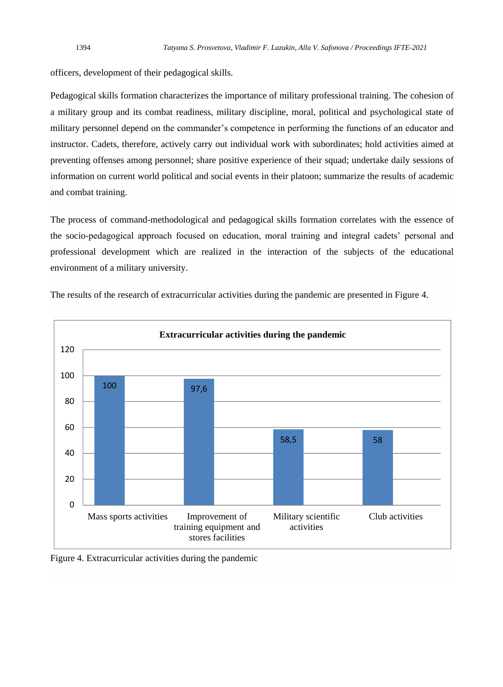officers, development of their pedagogical skills.

Pedagogical skills formation characterizes the importance of military professional training. The cohesion of a military group and its combat readiness, military discipline, moral, political and psychological state of military personnel depend on the commander's competence in performing the functions of an educator and instructor. Cadets, therefore, actively carry out individual work with subordinates; hold activities aimed at preventing offenses among personnel; share positive experience of their squad; undertake daily sessions of information on current world political and social events in their platoon; summarize the results of academic and combat training.

The process of command-methodological and pedagogical skills formation correlates with the essence of the socio-pedagogical approach focused on education, moral training and integral cadets' personal and professional development which are realized in the interaction of the subjects of the educational environment of a military university.



The results of the research of extracurricular activities during the pandemic are presented in Figure 4.

Figure 4. Extracurricular activities during the pandemic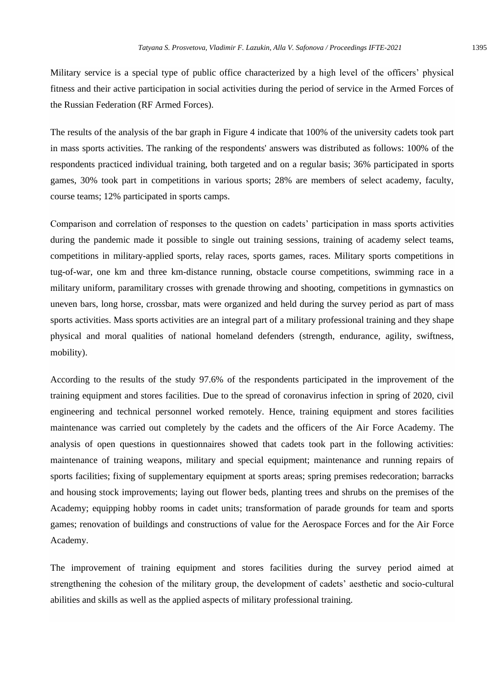Military service is a special type of public office characterized by a high level of the officers' physical fitness and their active participation in social activities during the period of service in the Armed Forces of the Russian Federation (RF Armed Forces).

The results of the analysis of the bar graph in Figure 4 indicate that 100% of the university cadets took part in mass sports activities. The ranking of the respondents' answers was distributed as follows: 100% of the respondents practiced individual training, both targeted and on a regular basis; 36% participated in sports games, 30% took part in competitions in various sports; 28% are members of select academy, faculty, course teams; 12% participated in sports camps.

Comparison and correlation of responses to the question on cadets' participation in mass sports activities during the pandemic made it possible to single out training sessions, training of academy select teams, competitions in military-applied sports, relay races, sports games, races. Military sports competitions in tug-of-war, one km and three km-distance running, obstacle course competitions, swimming race in a military uniform, paramilitary crosses with grenade throwing and shooting, competitions in gymnastics on uneven bars, long horse, crossbar, mats were organized and held during the survey period as part of mass sports activities. Mass sports activities are an integral part of a military professional training and they shape physical and moral qualities of national homeland defenders (strength, endurance, agility, swiftness, mobility).

According to the results of the study 97.6% of the respondents participated in the improvement of the training equipment and stores facilities. Due to the spread of coronavirus infection in spring of 2020, civil engineering and technical personnel worked remotely. Hence, training equipment and stores facilities maintenance was carried out completely by the cadets and the officers of the Air Force Academy. The analysis of open questions in questionnaires showed that cadets took part in the following activities: maintenance of training weapons, military and special equipment; maintenance and running repairs of sports facilities; fixing of supplementary equipment at sports areas; spring premises redecoration; barracks and housing stock improvements; laying out flower beds, planting trees and shrubs on the premises of the Academy; equipping hobby rooms in cadet units; transformation of parade grounds for team and sports games; renovation of buildings and constructions of value for the Aerospace Forces and for the Air Force Academy.

The improvement of training equipment and stores facilities during the survey period aimed at strengthening the cohesion of the military group, the development of cadets' aesthetic and socio-cultural abilities and skills as well as the applied aspects of military professional training.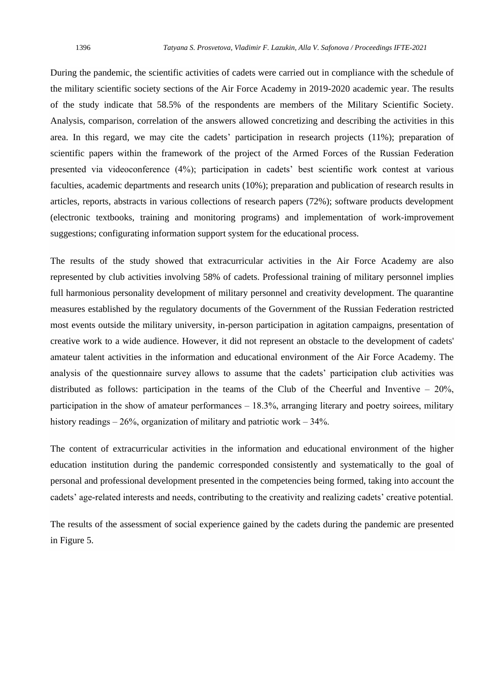During the pandemic, the scientific activities of cadets were carried out in compliance with the schedule of the military scientific society sections of the Air Force Academy in 2019-2020 academic year. The results of the study indicate that 58.5% of the respondents are members of the Military Scientific Society. Analysis, comparison, correlation of the answers allowed concretizing and describing the activities in this area. In this regard, we may cite the cadets' participation in research projects (11%); preparation of scientific papers within the framework of the project of the Armed Forces of the Russian Federation presented via videoconference (4%); participation in cadets' best scientific work contest at various faculties, academic departments and research units (10%); preparation and publication of research results in articles, reports, abstracts in various collections of research papers (72%); software products development (electronic textbooks, training and monitoring programs) and implementation of work-improvement suggestions; configurating information support system for the educational process.

The results of the study showed that extracurricular activities in the Air Force Academy are also represented by club activities involving 58% of cadets. Professional training of military personnel implies full harmonious personality development of military personnel and creativity development. The quarantine measures established by the regulatory documents of the Government of the Russian Federation restricted most events outside the military university, in-person participation in agitation campaigns, presentation of creative work to a wide audience. However, it did not represent an obstacle to the development of cadets' amateur talent activities in the information and educational environment of the Air Force Academy. The analysis of the questionnaire survey allows to assume that the cadets' participation club activities was distributed as follows: participation in the teams of the Club of the Cheerful and Inventive  $-20\%$ , participation in the show of amateur performances  $-18.3\%$ , arranging literary and poetry soirees, military history readings  $-26%$ , organization of military and patriotic work  $-34%$ .

The content of extracurricular activities in the information and educational environment of the higher education institution during the pandemic corresponded consistently and systematically to the goal of personal and professional development presented in the competencies being formed, taking into account the cadets' age-related interests and needs, contributing to the creativity and realizing cadets' creative potential.

The results of the assessment of social experience gained by the cadets during the pandemic are presented in Figure 5.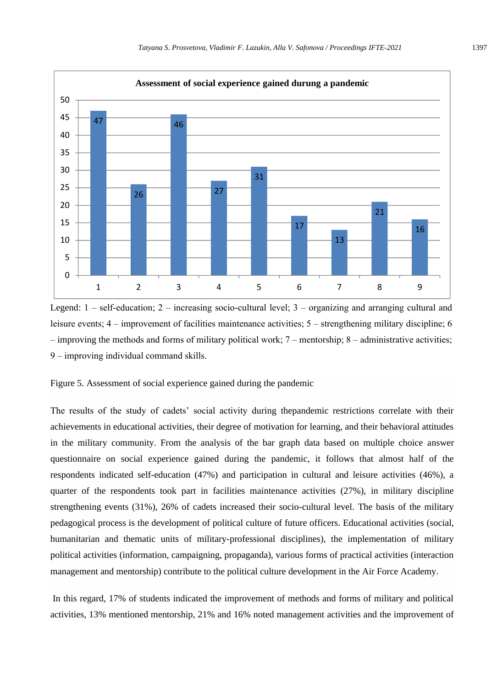

Legend:  $1 - self-eduction$ ;  $2 - increasing socio-cultural level$ ;  $3 - organizing and arranging cultural and$ leisure events; 4 – improvement of facilities maintenance activities; 5 – strengthening military discipline; 6  $-$  improving the methods and forms of military political work;  $7$  – mentorship;  $8$  – administrative activities; 9 ‒ improving individual command skills.

Figure 5. Assessment of social experience gained during the pandemic

The results of the study of cadets' social activity during thepandemic restrictions correlate with their achievements in educational activities, their degree of motivation for learning, and their behavioral attitudes in the military community. From the analysis of the bar graph data based on multiple choice answer questionnaire on social experience gained during the pandemic, it follows that almost half of the respondents indicated self-education (47%) and participation in cultural and leisure activities (46%), a quarter of the respondents took part in facilities maintenance activities (27%), in military discipline strengthening events (31%), 26% of cadets increased their socio-cultural level. The basis of the military pedagogical process is the development of political culture of future officers. Educational activities (social, humanitarian and thematic units of military-professional disciplines), the implementation of military political activities (information, campaigning, propaganda), various forms of practical activities (interaction management and mentorship) contribute to the political culture development in the Air Force Academy.

In this regard, 17% of students indicated the improvement of methods and forms of military and political activities, 13% mentioned mentorship, 21% and 16% noted management activities and the improvement of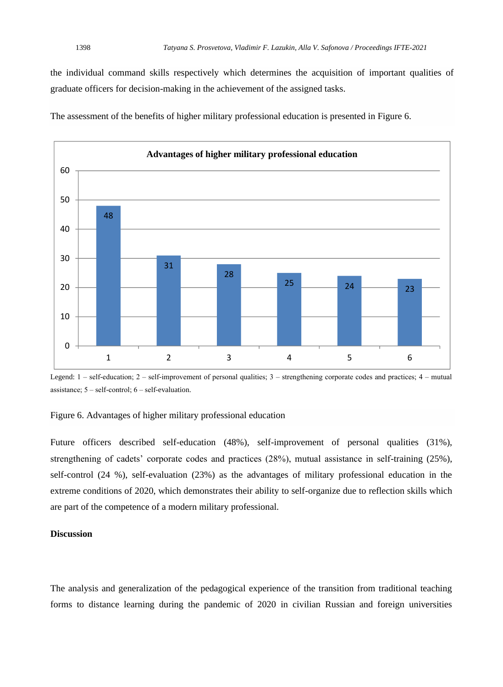the individual command skills respectively which determines the acquisition of important qualities of graduate officers for decision-making in the achievement of the assigned tasks.

The assessment of the benefits of higher military professional education is presented in Figure 6.



Legend:  $1$  – self-education;  $2$  – self-improvement of personal qualities;  $3$  – strengthening corporate codes and practices;  $4$  – mutual assistance;  $5 - \text{self-control}$ ;  $6 - \text{self-evaluation}$ .

## Figure 6. Advantages of higher military professional education

Future officers described self-education (48%), self-improvement of personal qualities (31%), strengthening of cadets' corporate codes and practices (28%), mutual assistance in self-training (25%), self-control (24 %), self-evaluation (23%) as the advantages of military professional education in the extreme conditions of 2020, which demonstrates their ability to self-organize due to reflection skills which are part of the competence of a modern military professional.

## **Discussion**

The analysis and generalization of the pedagogical experience of the transition from traditional teaching forms to distance learning during the pandemic of 2020 in civilian Russian and foreign universities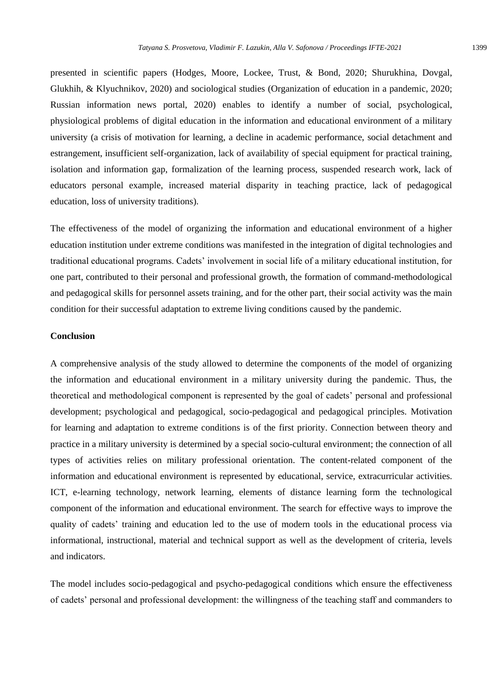presented in scientific papers (Hodges, Moore, Lockee, Trust, & Bond, 2020; Shurukhina, Dovgal, Glukhih, & Klyuchnikov, 2020) and sociological studies (Organization of education in a pandemic, 2020; Russian information news portal, 2020) enables to identify a number of social, psychological, physiological problems of digital education in the information and educational environment of a military university (a crisis of motivation for learning, a decline in academic performance, social detachment and estrangement, insufficient self-organization, lack of availability of special equipment for practical training, isolation and information gap, formalization of the learning process, suspended research work, lack of educators personal example, increased material disparity in teaching practice, lack of pedagogical education, loss of university traditions).

The effectiveness of the model of organizing the information and educational environment of a higher education institution under extreme conditions was manifested in the integration of digital technologies and traditional educational programs. Cadets' involvement in social life of a military educational institution, for one part, contributed to their personal and professional growth, the formation of command-methodological and pedagogical skills for personnel assets training, and for the other part, their social activity was the main condition for their successful adaptation to extreme living conditions caused by the pandemic.

## **Conclusion**

A comprehensive analysis of the study allowed to determine the components of the model of organizing the information and educational environment in a military university during the pandemic. Thus, the theoretical and methodological component is represented by the goal of cadets' personal and professional development; psychological and pedagogical, socio-pedagogical and pedagogical principles. Motivation for learning and adaptation to extreme conditions is of the first priority. Connection between theory and practice in a military university is determined by a special socio-cultural environment; the connection of all types of activities relies on military professional orientation. The content-related component of the information and educational environment is represented by educational, service, extracurricular activities. ICT, e-learning technology, network learning, elements of distance learning form the technological component of the information and educational environment. The search for effective ways to improve the quality of cadets' training and education led to the use of modern tools in the educational process via informational, instructional, material and technical support as well as the development of criteria, levels and indicators.

The model includes socio-pedagogical and psycho-pedagogical conditions which ensure the effectiveness of cadets' personal and professional development: the willingness of the teaching staff and commanders to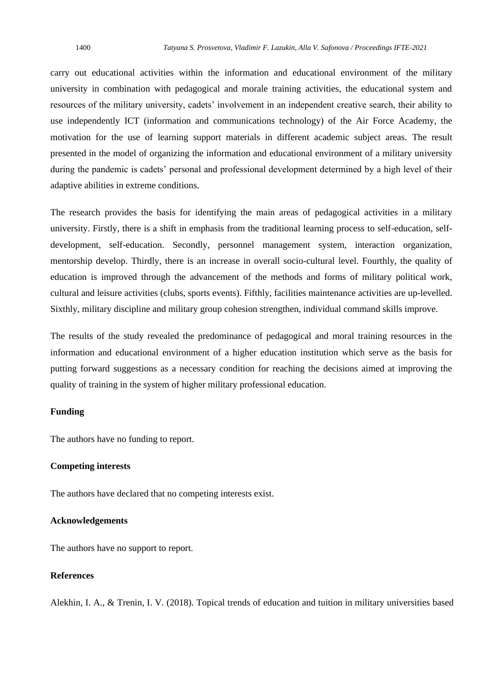carry out educational activities within the information and educational environment of the military university in combination with pedagogical and morale training activities, the educational system and resources of the military university, cadets' involvement in an independent creative search, their ability to use independently ICT (information and communications technology) of the Air Force Academy, the motivation for the use of learning support materials in different academic subject areas. The result presented in the model of organizing the information and educational environment of a military university during the pandemic is cadets' personal and professional development determined by a high level of their adaptive abilities in extreme conditions.

The research provides the basis for identifying the main areas of pedagogical activities in a military university. Firstly, there is a shift in emphasis from the traditional learning process to self-education, selfdevelopment, self-education. Secondly, personnel management system, interaction organization, mentorship develop. Thirdly, there is an increase in overall socio-cultural level. Fourthly, the quality of education is improved through the advancement of the methods and forms of military political work, cultural and leisure activities (clubs, sports events). Fifthly, facilities maintenance activities are up-levelled. Sixthly, military discipline and military group cohesion strengthen, individual command skills improve.

The results of the study revealed the predominance of pedagogical and moral training resources in the information and educational environment of a higher education institution which serve as the basis for putting forward suggestions as a necessary condition for reaching the decisions aimed at improving the quality of training in the system of higher military professional education.

### **Funding**

The authors have no funding to report.

## **Competing interests**

The authors have declared that no competing interests exist.

### **Acknowledgements**

The authors have no support to report.

## **References**

Alekhin, I. A., & Trenin, I. V*.* (2018). Topical trends of education and tuition in military universities based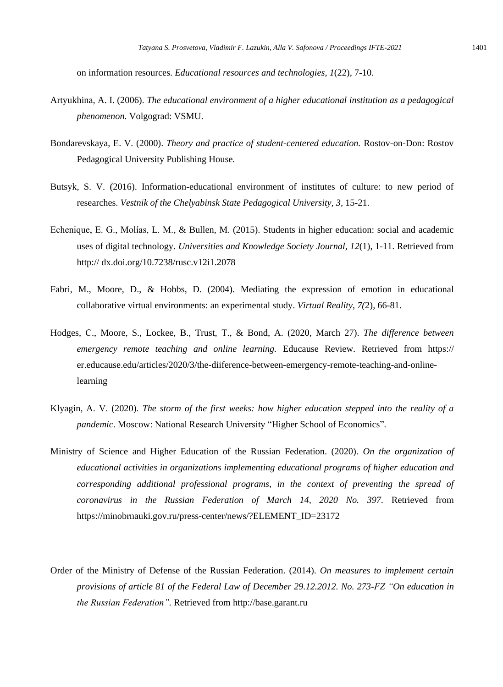on information resources. *Educational resources and technologies, 1*(22), 7-10.

- Artyukhina, A. I. (2006). *The educational environment of a higher educational institution as a pedagogical phenomenon.* Volgograd: VSMU.
- Bondarevskaya, E. V. (2000). *Theory and practice of student-centered education.* Rostov-on-Don: Rostov Pedagogical University Publishing House*.*
- Butsyk, S. V. (2016). Information-educational environment of institutes of culture: to new period of researches. *Vestnik of the Chelyabinsk State Pedagogical University, 3,* 15-21.
- Echenique, E. G., Molías, L. M., & Bullen, M. (2015). Students in higher education: social and academic uses of digital technology. *Universities and Knowledge Society Journal*, *12*(1), 1-11. Retrieved from http:// dx.doi.org/10.7238/rusc.v12i1.2078
- Fabri, M., Moore, D., & Hobbs, D. (2004). Mediating the expression of emotion in educational collaborative virtual environments: an experimental study. *Virtual Reality*, *7(*2), 66-81.
- Hodges, С., Moore, S., Lockee, В., Trust, Т., & Bond, A. (2020, March 27). *The difference between emergency remote teaching and online learning.* Educause Review. Retrieved from https:// er.educause.edu/articles/2020/3/the-diiference-between-emergency-remote-teaching-and-onlinelearning
- Klyagin, A. V. (2020). *The storm of the first weeks: how higher education stepped into the reality of a pandemic*. Moscow: National Research University "Higher School of Economics".
- Ministry of Science and Higher Education of the Russian Federation. (2020). *On the organization of educational activities in organizations implementing educational programs of higher education and corresponding additional professional programs, in the context of preventing the spread of coronavirus in the Russian Federation of March 14, 2020 No. 397.* Retrieved from [https://minobrnauki.gov.ru/press-center/news/?ELEMENT\\_ID=23172](https://minobrnauki.gov.ru/press-center/news/?ELEMENT_ID=23172)
- Order of the Ministry of Defense of the Russian Federation. (2014). *On measures to implement certain provisions of article 81 of the Federal Law of December 29.12.2012. No. 273-FZ "On education in the Russian Federation".* Retrieved from http://base.garant.ru